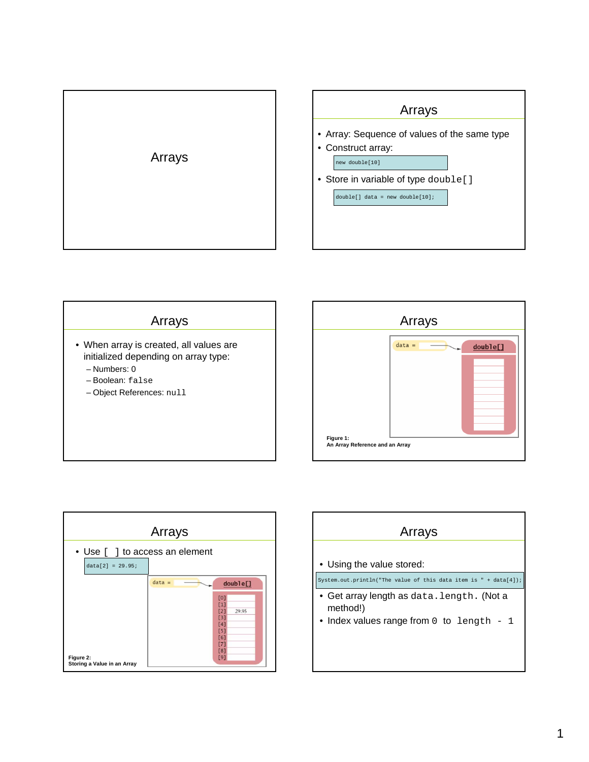







| Arrays                                                           |
|------------------------------------------------------------------|
|                                                                  |
| • Using the value stored:                                        |
| System.out.println("The value of this data item is " + data[4]); |
| • Get array length as $data.length$ . (Not a<br>method!)         |
| • Index values range from $0$ to length - 1                      |
|                                                                  |
|                                                                  |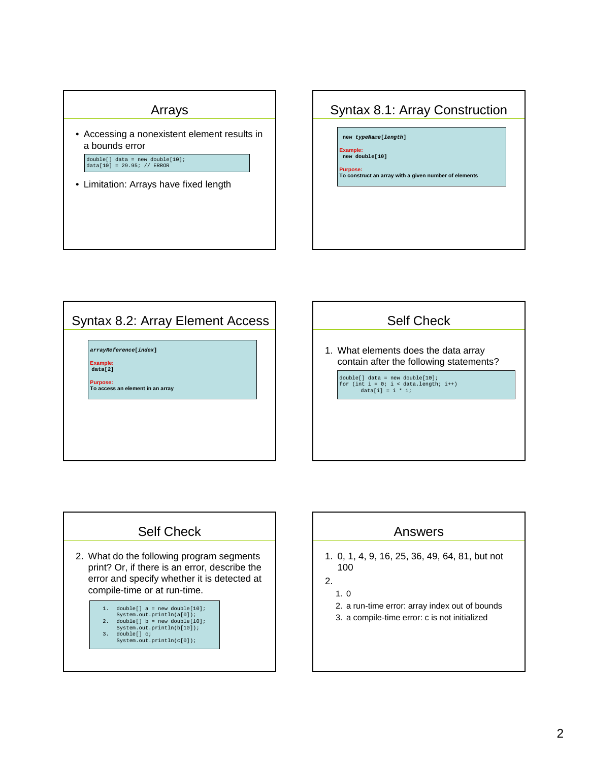#### Arrays

• Accessing a nonexistent element results in a bounds error

double[] data = new double[10]; data[10] = 29.95; // ERROR

• Limitation: Arrays have fixed length

## Syntax 8.1: Array Construction

**new typeName[length]**

**Example: new double[10]**

**Purpose: To construct an array with a given number of elements**

# Syntax 8.2: Array Element Access

**arrayReference[index]**

**Example: data[2]**

**Purpose:**

**To access an element in an array**

### Self Check

1. What elements does the data array contain after the following statements?

double[] data = new double[10];<br>for (int i = 0; i < data.length; i++)<br>data[i] = i \* i;

# Self Check

- 2. What do the following program segments print? Or, if there is an error, describe the error and specify whether it is detected at compile-time or at run-time.
	- 1. double[]  $a = new double[10];$
	- System.out.println(a[0]); 2. double[] b = new double[10]; System.out.println(b[10]);
	-
	- 3. double[] c; System.out.println(c[0]);

### Answers

- 1. 0, 1, 4, 9, 16, 25, 36, 49, 64, 81, but not 100
- 2.

1. 0

- 2. a run-time error: array index out of bounds
- 3. a compile-time error: c is not initialized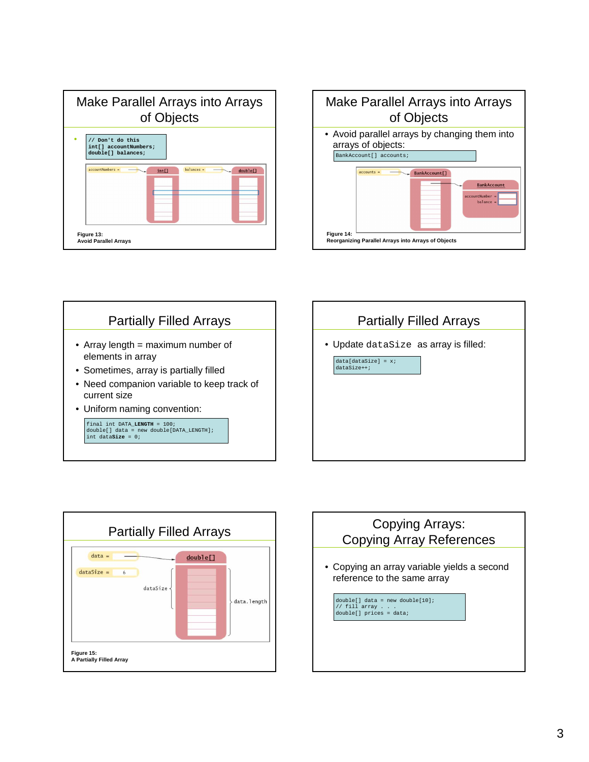









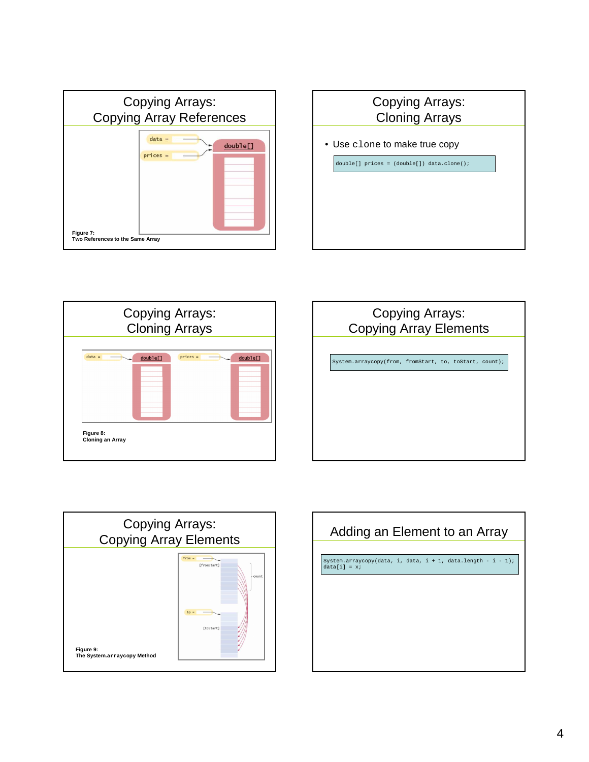









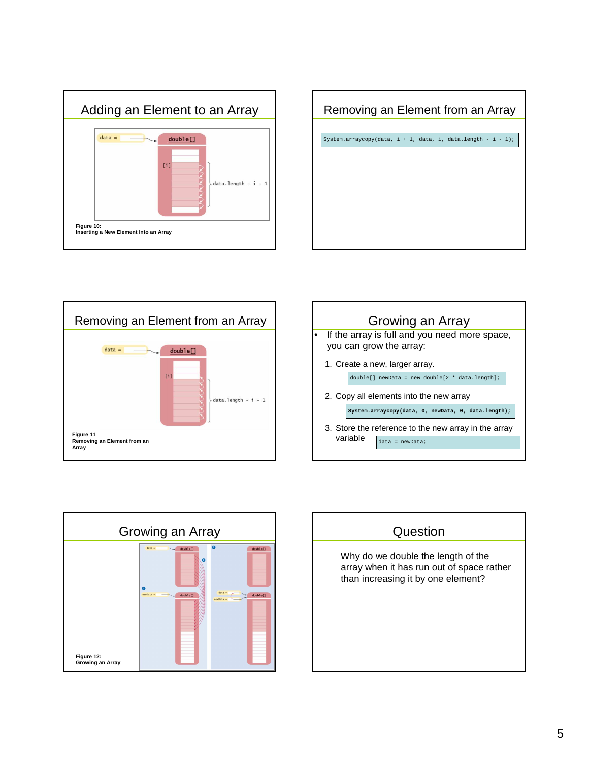